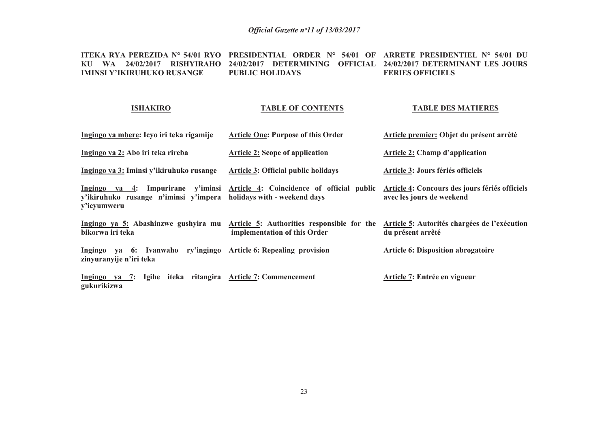#### **ITEKA RYA PEREZIDA N° 54/01 RYO PRESIDENTIAL ORDER N° 54/01 OF ARRETE PRESIDENTIEL N° 54/01 DU KU WA 24/02/2017 RISHYIRAHO 24/02/2017 DETERMINING OFFICIAL 24/02/2017 DETERMINANT LES JOURS IMINSI Y'IKIRUHUKO RUSANGE PUBLIC HOLIDAYSFERIES OFFICIELS**

### **ISHAKIRO**

## **TABLE OF CONTENTS**

#### **TABLE DES MATIERES**

| Ingingo ya mbere: Icyo iri teka rigamije                                                  | Article One: Purpose of this Order                                         | Article premier: Objet du présent arrêté                                    |
|-------------------------------------------------------------------------------------------|----------------------------------------------------------------------------|-----------------------------------------------------------------------------|
| Ingingo ya 2: Abo iri teka rireba                                                         | <b>Article 2: Scope of application</b>                                     | <b>Article 2: Champ d'application</b>                                       |
| Ingingo ya 3: Iminsi y'ikiruhuko rusange                                                  | <b>Article 3: Official public holidays</b>                                 | Article 3: Jours fériés officiels                                           |
| Ingingo ya 4: Impurirane y'iminsi<br>v'ikiruhuko rusange n'iminsi v'impera<br>y'icyumweru | Article 4: Coincidence of official public<br>holidays with - weekend days  | Article 4: Concours des jours fériés officiels<br>avec les jours de weekend |
| Ingingo ya 5: Abashinzwe gushyira mu<br>bikorwa iri teka                                  | Article 5: Authorities responsible for the<br>implementation of this Order | Article 5: Autorités chargées de l'exécution<br>du présent arrêté           |
| ry'ingingo<br>Ingingo ya 6: Ivanwaho<br>zinyuranyije n'iri teka                           | <b>Article 6: Repealing provision</b>                                      | <b>Article 6: Disposition abrogatoire</b>                                   |
| Ingingo ya 7: Igihe iteka ritangira Article 7: Commencement<br>gukurikizwa                |                                                                            | Article 7: Entrée en vigueur                                                |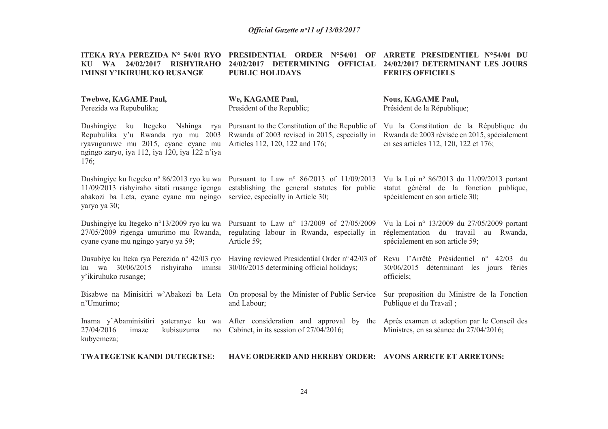| ITEKA RYA PEREZIDA Nº 54/01 RYO<br><b>WA</b><br>24/02/2017<br><b>RISHYIRAHO</b><br>KU<br><b>IMINSI Y'IKIRUHUKO RUSANGE</b>                                                         | <b>PRESIDENTIAL ORDER N°54/01</b><br>OF<br>24/02/2017 DETERMINING<br><b>OFFICIAL</b><br><b>PUBLIC HOLIDAYS</b>                          | ARRETE PRESIDENTIEL N°54/01 DU<br>24/02/2017 DETERMINANT LES JOURS<br><b>FERIES OFFICIELS</b>                                   |
|------------------------------------------------------------------------------------------------------------------------------------------------------------------------------------|-----------------------------------------------------------------------------------------------------------------------------------------|---------------------------------------------------------------------------------------------------------------------------------|
| Twebwe, KAGAME Paul,<br>Perezida wa Repubulika;                                                                                                                                    | We, KAGAME Paul,<br>President of the Republic;                                                                                          | <b>Nous, KAGAME Paul,</b><br>Président de la République;                                                                        |
| Dushingiye<br>Itegeko<br>Nshinga<br>ku<br>rya<br>Repubulika y'u Rwanda ryo mu 2003<br>ryavuguruwe mu 2015, cyane cyane mu<br>ngingo zaryo, iya 112, iya 120, iya 122 n'iya<br>176; | Pursuant to the Constitution of the Republic of<br>Rwanda of 2003 revised in 2015, especially in<br>Articles 112, 120, 122 and 176;     | Vu la Constitution de la République du<br>Rwanda de 2003 révisée en 2015, spécialement<br>en ses articles 112, 120, 122 et 176; |
| Dushingiye ku Itegeko n° 86/2013 ryo ku wa<br>11/09/2013 rishyiraho sitati rusange igenga<br>abakozi ba Leta, cyane cyane mu ngingo<br>yaryo ya 30;                                | Pursuant to Law $n^{\circ}$ 86/2013 of 11/09/2013<br>establishing the general statutes for public<br>service, especially in Article 30; | Vu la Loi nº 86/2013 du 11/09/2013 portant<br>statut général de la fonction publique,<br>spécialement en son article 30;        |
| Dushingiye ku Itegeko n°13/2009 ryo ku wa<br>27/05/2009 rigenga umurimo mu Rwanda,<br>cyane cyane mu ngingo yaryo ya 59;                                                           | Pursuant to Law n° 13/2009 of 27/05/2009<br>regulating labour in Rwanda, especially in<br>Article 59;                                   | Vu la Loi nº 13/2009 du 27/05/2009 portant<br>réglementation du travail au<br>Rwanda,<br>spécialement en son article 59;        |
| Dusubiye ku Iteka rya Perezida n° 42/03 ryo<br>30/06/2015<br>rishyiraho<br>iminsi<br>ku wa<br>y'ikiruhuko rusange;                                                                 | Having reviewed Presidential Order nº 42/03 of<br>30/06/2015 determining official holidays;                                             | Revu l'Arrêté Présidentiel n° 42/03 du<br>30/06/2015<br>déterminant les jours fériés<br>officiels;                              |
| Bisabwe na Minisitiri w'Abakozi ba Leta<br>n'Umurimo;                                                                                                                              | On proposal by the Minister of Public Service<br>and Labour;                                                                            | Sur proposition du Ministre de la Fonction<br>Publique et du Travail;                                                           |
| Inama y'Abaminisitiri<br>yateranye ku wa<br>27/04/2016<br>imaze<br>kubisuzuma<br>no<br>kubyemeza;                                                                                  | After consideration and approval by the<br>Cabinet, in its session of 27/04/2016;                                                       | Après examen et adoption par le Conseil des<br>Ministres, en sa séance du 27/04/2016;                                           |

**TWATEGETSE KANDI DUTEGETSE: HAVE ORDERED AND HEREBY ORDER: AVONS ARRETE ET ARRETONS:**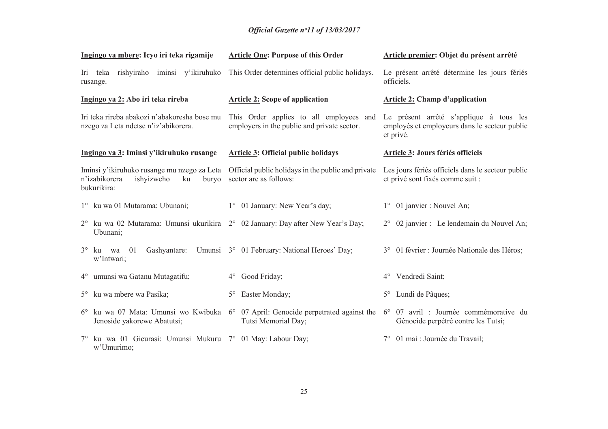# *Official Gazette nᵒ11 of 13/03/2017*

| Ingingo ya mbere: Icyo iri teka rigamije                                                                 | <b>Article One: Purpose of this Order</b>                                                                                  | Article premier: Objet du présent arrêté                                                              |
|----------------------------------------------------------------------------------------------------------|----------------------------------------------------------------------------------------------------------------------------|-------------------------------------------------------------------------------------------------------|
| Iri teka rishyiraho iminsi y'ikiruhuko<br>rusange.                                                       | This Order determines official public holidays.                                                                            | Le présent arrêté détermine les jours fériés<br>officiels.                                            |
| Ingingo ya 2: Abo iri teka rireba                                                                        | <b>Article 2: Scope of application</b>                                                                                     | <b>Article 2: Champ d'application</b>                                                                 |
| Iri teka rireba abakozi n'abakoresha bose mu<br>nzego za Leta ndetse n'iz'abikorera.                     | This Order applies to all employees and<br>employers in the public and private sector.                                     | Le présent arrêté s'applique à tous les<br>employés et employeurs dans le secteur public<br>et privé. |
| Ingingo ya 3: Iminsi y'ikiruhuko rusange                                                                 | <b>Article 3: Official public holidays</b>                                                                                 | <b>Article 3: Jours fériés officiels</b>                                                              |
| Iminsi y'ikiruhuko rusange mu nzego za Leta<br>n'izabikorera<br>ishyizweho<br>ku<br>buryo<br>bukurikira: | Official public holidays in the public and private<br>sector are as follows:                                               | Les jours fériés officiels dans le secteur public<br>et privé sont fixés comme suit :                 |
| 1° ku wa 01 Mutarama: Ubunani;                                                                           | 1° 01 January: New Year's day;                                                                                             | 1° 01 janvier : Nouvel An;                                                                            |
| 2° ku wa 02 Mutarama: Umunsi ukurikira 2° 02 January: Day after New Year's Day;<br>Ubunani;              |                                                                                                                            | 2° 02 janvier : Le lendemain du Nouvel An;                                                            |
| $3^\circ$ ku wa 01<br>w'Intwari;                                                                         | Gashyantare: Umunsi 3° 01 February: National Heroes' Day;                                                                  | 3° 01 février : Journée Nationale des Héros;                                                          |
| 4° umunsi wa Gatanu Mutagatifu;                                                                          | Good Friday;<br>$4^{\circ}$                                                                                                | 4° Vendredi Saint;                                                                                    |
| 5° ku wa mbere wa Pasika;                                                                                | Easter Monday;<br>$5^{\circ}$                                                                                              | Lundi de Pâques;<br>$5^\circ$                                                                         |
| Jenoside yakorewe Abatutsi;                                                                              | $6^{\circ}$ ku wa 07 Mata: Umunsi wo Kwibuka $6^{\circ}$ 07 April: Genocide perpetrated against the<br>Tutsi Memorial Day; | 6° 07 avril : Journée commémorative du<br>Génocide perpétré contre les Tutsi;                         |
| 7° ku wa 01 Gicurasi: Umunsi Mukuru 7° 01 May: Labour Day;<br>w'Umurimo;                                 |                                                                                                                            | 01 mai : Journée du Travail;                                                                          |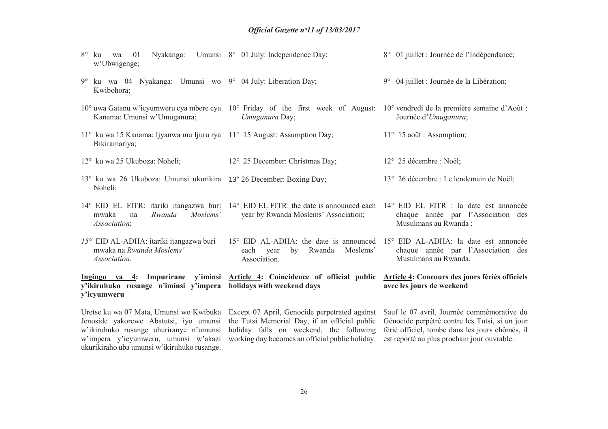- 8° ku wa 01 Nyakanga: Umunsi 8° 01 July: Independence Day; w'Ubwigenge;8° 01 juillet : Journée de l'Indépendance;
- 9° ku wa 04 Nyakanga: Umunsi wo 9° 04 July: Liberation Day; Kwibohora; 9° 04 juillet : Journée de la Libération;
- 10° uwa Gatanu w'icyumweru cya mbere cya 10° Friday of the first week of August: 10° vendredi de la première semaine d'Août : Kanama: Umunsi w'Umuganura;*Umuganura* Day; Journée d'*Umuganura*;
- 11° ku wa 15 Kanama: Ijyanwa mu Ijuru rya 11° 15 August: Assumption Day; Bikiramariya;
- 12° ku wa 25 Ukuboza: Noheli; 12° 25 December: Christmas Day; 12° 25 décembre : Noël;
- 13° ku wa 26 Ukuboza: Umunsi ukurikira 13° 26 December: Boxing Day; Noheli; 13° 26 décembre : Le lendemain de Noël;
- 14° EID EL FITR: itariki itangazwa buri 14° EID EL FITR: the date is announced each 14° EID EL FITR : la date est annoncée mwaka na *Rwanda Moslems' Association*; year by Rwanda Moslems' Association; chaque année par l'Association des Musulmans au Rwanda ;
- *15°* EID AL-ADHA: itariki itangazwa buri mwaka na *Rwanda Moslems' Association.* 15° EID AL-ADHA: the date is announced 15° EID AL-ADHA: la date est annoncée each year by Rwanda Moslems' Association. chaque année par l'Association des Musulmans au Rwanda.

**Ingingo ya 4: Impurirane y'iminsi y'ikiruhuko rusange n'iminsi y'impera holidays with weekend daysy'icyumweruArticle 4: Coincidence of official public Article 4: Concours des jours fériés officiels avec les jours de weekend**

Uretse ku wa 07 Mata, Umunsi wo Kwibuka Jenoside yakorewe Abatutsi, iyo umunsi w'ikiruhuko rusange uhuriranye n'umunsi w'impera y'icyumweru, umunsi w'akazi ukurikiraho uba umunsi w'ikiruhuko rusange.

Except 07 April, Genocide perpetrated against the Tutsi Memorial Day, if an official public holiday falls on weekend, the following férié officiel, tombe dans les jours chômés, il working day becomes an official public holiday. est reporté au plus prochain jour ouvrable.

Sauf le 07 avril, Journée commémorative du Génocide perpétré contre les Tutsi, si un jour

11° 15 août : Assomption;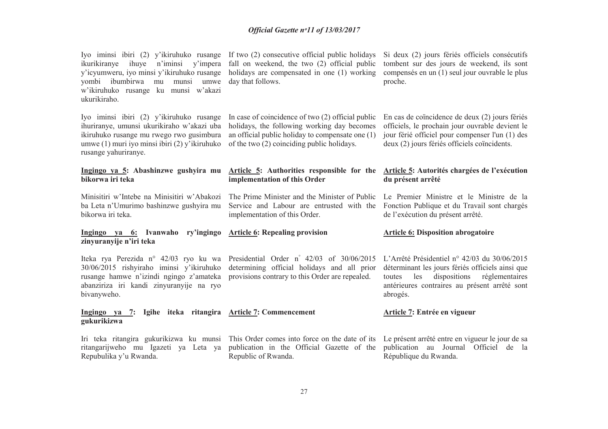| Iyo iminsi ibiri (2) y'ikiruhuko rusange<br>ihuye<br>ikurikiranye<br>n'iminsi y'impera<br>y'icyumweru, iyo minsi y'ikiruhuko rusange<br>yombi ibumbirwa<br>mu munsi<br>umwe<br>w'ikiruhuko rusange ku munsi w'akazi<br>ukurikiraho. | If two (2) consecutive official public holidays<br>fall on weekend, the two (2) official public<br>holidays are compensated in one (1) working<br>day that follows.                                  | Si deux (2) jours fériés officiels consécutifs<br>tombent sur des jours de weekend, ils sont<br>compensés en un (1) seul jour ouvrable le plus<br>proche.                                                        |
|-------------------------------------------------------------------------------------------------------------------------------------------------------------------------------------------------------------------------------------|------------------------------------------------------------------------------------------------------------------------------------------------------------------------------------------------------|------------------------------------------------------------------------------------------------------------------------------------------------------------------------------------------------------------------|
| Iyo iminsi ibiri (2) y'ikiruhuko rusange<br>ihuriranye, umunsi ukurikiraho w'akazi uba<br>ikiruhuko rusange mu rwego rwo gusimbura<br>umwe (1) muri iyo minsi ibiri (2) y'ikiruhuko<br>rusange yahuriranye.                         | In case of coincidence of two (2) official public<br>holidays, the following working day becomes<br>an official public holiday to compensate one $(1)$<br>of the two (2) coinciding public holidays. | En cas de coïncidence de deux (2) jours fériés<br>officiels, le prochain jour ouvrable devient le<br>jour férié officiel pour compenser l'un (1) des<br>deux (2) jours fériés officiels coïncidents.             |
| Ingingo ya 5: Abashinzwe gushyira mu<br>bikorwa iri teka                                                                                                                                                                            | Article 5: Authorities responsible for the<br>implementation of this Order                                                                                                                           | Article 5: Autorités chargées de l'exécution<br>du présent arrêté                                                                                                                                                |
| Minisitiri w'Intebe na Minisitiri w'Abakozi<br>ba Leta n'Umurimo bashinzwe gushyira mu<br>bikorwa iri teka.                                                                                                                         | The Prime Minister and the Minister of Public<br>Service and Labour are entrusted with the<br>implementation of this Order.                                                                          | Le Premier Ministre et le Ministre de la<br>Fonction Publique et du Travail sont chargés<br>de l'exécution du présent arrêté.                                                                                    |
| Ingingo ya 6: Ivanwaho<br>ry'ingingo<br>zinyuranyije n'iri teka                                                                                                                                                                     | <b>Article 6: Repealing provision</b>                                                                                                                                                                | <b>Article 6: Disposition abrogatoire</b>                                                                                                                                                                        |
|                                                                                                                                                                                                                                     |                                                                                                                                                                                                      |                                                                                                                                                                                                                  |
| Iteka rya Perezida n° 42/03 ryo ku wa<br>30/06/2015 rishyiraho iminsi y'ikiruhuko<br>rusange hamwe n'izindi ngingo z'amateka<br>abanziriza iri kandi zinyuranyije na ryo<br>bivanyweho.                                             | Presidential Order n° 42/03 of 30/06/2015<br>determining official holidays and all prior<br>provisions contrary to this Order are repealed.                                                          | L'Arrêté Présidentiel n° 42/03 du 30/06/2015<br>déterminant les jours fériés officiels ainsi que<br>dispositions<br>réglementaires<br>les<br>toutes<br>antérieures contraires au présent arrêté sont<br>abrogés. |
| Ingingo ya 7:<br>gukurikizwa                                                                                                                                                                                                        | Igihe iteka ritangira Article 7: Commencement                                                                                                                                                        | Article 7: Entrée en vigueur                                                                                                                                                                                     |